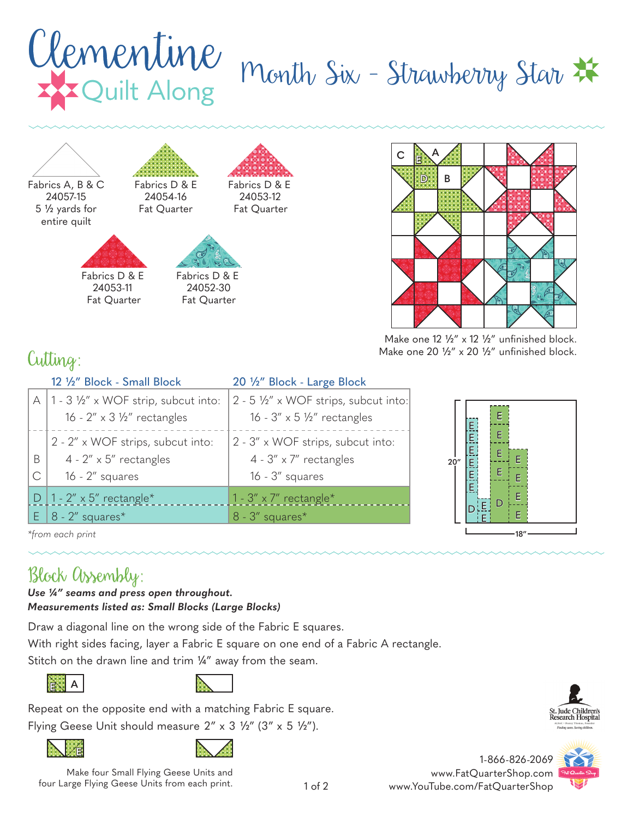





Make one  $12 \frac{1}{2}$ " x  $12 \frac{1}{2}$ " unfinished block. Make one 20  $\frac{1}{2}$ " x 20  $\frac{1}{2}$ " unfinished block.

## Cutting:

|        | 12 1/2" Block - Small Block                                                                           | 20 1/2" Block - Large Block                                                                |
|--------|-------------------------------------------------------------------------------------------------------|--------------------------------------------------------------------------------------------|
|        | A   1 - 3 $\frac{1}{2}$ " x WOF strip, subcut into:<br>16 - $2'' \times 3$ $\frac{1}{2}''$ rectangles | 2 - 5 1/2" x WOF strips, subcut into:<br>16 - $3'' \times 5$ $\frac{1}{2}''$ rectangles    |
| B<br>С | 2 - 2" x WOF strips, subcut into:<br>4 - $2'' \times 5''$ rectangles<br>$16 - 2''$ squares            | 2 - 3" x WOF strips, subcut into:<br>$4 - 3'' \times 7''$ rectangles<br>$16 - 3''$ squares |
|        | D   1 - $2'' \times 5''$ rectangle*                                                                   | 1 - 3" $\times$ 7" rectangle*                                                              |
|        | $E$   8 - 2" squares*                                                                                 | $8 - 3''$ squares*                                                                         |



*\*from each print*

## Block Assembly:

*Use ¼" seams and press open throughout. Measurements listed as: Small Blocks (Large Blocks)*

Draw a diagonal line on the wrong side of the Fabric E squares.

With right sides facing, layer a Fabric E square on one end of a Fabric A rectangle.

Stitch on the drawn line and trim 1/4" away from the seam.





Repeat on the opposite end with a matching Fabric E square. Flying Geese Unit should measure  $2'' \times 3 \frac{1}{2}$ " (3" x 5  $\frac{1}{2}$ ").





Make four Small Flying Geese Units and four Large Flying Geese Units from each print.





1-866-826-2069 www.FatQuarterShop.com www.YouTube.com/FatQuarterShop